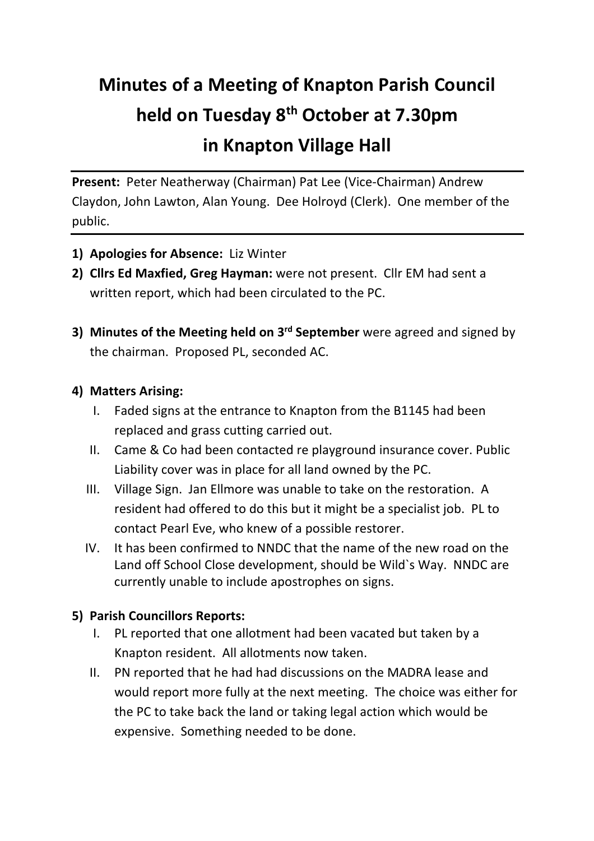# **Minutes of a Meeting of Knapton Parish Council held on Tuesday 8th October at 7.30pm in Knapton Village Hall**

**Present:** Peter Neatherway (Chairman) Pat Lee (Vice-Chairman) Andrew Claydon, John Lawton, Alan Young. Dee Holroyd (Clerk). One member of the public.

- **1) Apologies for Absence:** Liz Winter
- **2) Cllrs Ed Maxfied, Greg Hayman:** were not present. Cllr EM had sent a written report, which had been circulated to the PC.
- **3) Minutes of the Meeting held on 3rd September** were agreed and signed by the chairman. Proposed PL, seconded AC.

### **4) Matters Arising:**

- I. Faded signs at the entrance to Knapton from the B1145 had been replaced and grass cutting carried out.
- II. Came & Co had been contacted re playground insurance cover. Public Liability cover was in place for all land owned by the PC.
- III. Village Sign. Jan Ellmore was unable to take on the restoration. A resident had offered to do this but it might be a specialist job. PL to contact Pearl Eve, who knew of a possible restorer.
- IV. It has been confirmed to NNDC that the name of the new road on the Land off School Close development, should be Wild`s Way. NNDC are currently unable to include apostrophes on signs.

# **5) Parish Councillors Reports:**

- I. PL reported that one allotment had been vacated but taken by a Knapton resident. All allotments now taken.
- II. PN reported that he had had discussions on the MADRA lease and would report more fully at the next meeting. The choice was either for the PC to take back the land or taking legal action which would be expensive. Something needed to be done.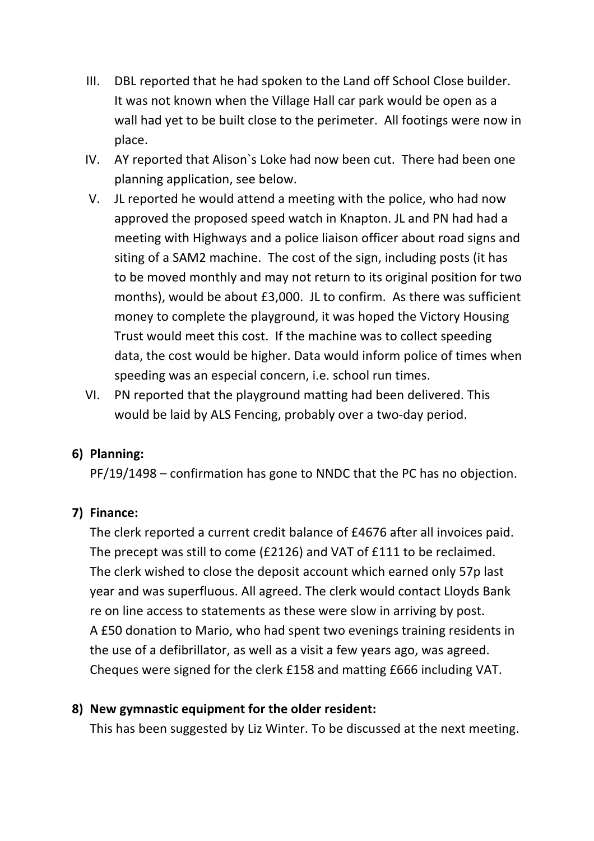- III. DBL reported that he had spoken to the Land off School Close builder. It was not known when the Village Hall car park would be open as a wall had yet to be built close to the perimeter. All footings were now in place.
- IV. AY reported that Alison`s Loke had now been cut. There had been one planning application, see below.
- V. JL reported he would attend a meeting with the police, who had now approved the proposed speed watch in Knapton. JL and PN had had a meeting with Highways and a police liaison officer about road signs and siting of a SAM2 machine. The cost of the sign, including posts (it has to be moved monthly and may not return to its original position for two months), would be about £3,000. JL to confirm. As there was sufficient money to complete the playground, it was hoped the Victory Housing Trust would meet this cost. If the machine was to collect speeding data, the cost would be higher. Data would inform police of times when speeding was an especial concern, i.e. school run times.
- VI. PN reported that the playground matting had been delivered. This would be laid by ALS Fencing, probably over a two-day period.

#### **6) Planning:**

PF/19/1498 – confirmation has gone to NNDC that the PC has no objection.

# **7) Finance:**

The clerk reported a current credit balance of £4676 after all invoices paid. The precept was still to come (£2126) and VAT of £111 to be reclaimed. The clerk wished to close the deposit account which earned only 57p last year and was superfluous. All agreed. The clerk would contact Lloyds Bank re on line access to statements as these were slow in arriving by post. A £50 donation to Mario, who had spent two evenings training residents in the use of a defibrillator, as well as a visit a few years ago, was agreed. Cheques were signed for the clerk £158 and matting £666 including VAT.

#### **8) New gymnastic equipment for the older resident:**

This has been suggested by Liz Winter. To be discussed at the next meeting.